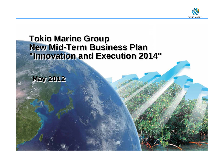

# **Tokio Marine Group New Mid-Term Business Plan "Innovation and Execution 2014"**

**May 2012**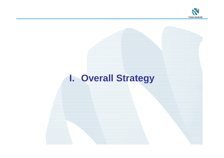

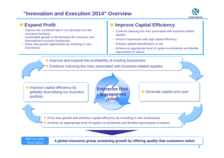# **"Innovation and Execution 2014" Overview**



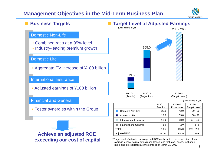# **Management Objectives in the Mid-Term Business Plan**



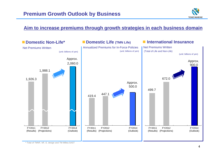

# **Aim to increase premiums through growth strategies in each business domain**

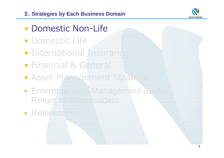# Ⅱ**. Strategies by Each Business Domain**



- Domestic Non-Life
- Domestic Life
- International Insurance
- Financial & General
- Asset Management Strategy
- Enterprise Risk Management (ERM) Return to Shareholders
- References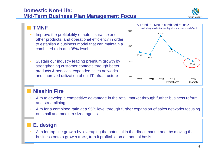# **Domestic Non-Life:Mid-Term Business Plan Management Focus**



- • Improve the profitability of auto insurance and other products, and operational efficiency in order to establish a business model that can maintain a combined ratio at a 95% level
- • Sustain our industry leading premium growth by strengthening customer contacts through better products & services, expanded sales networks and improved utilization of our IT infrastructure



# **Nisshin Fire**

- • Aim to develop a competitive advantage in the retail market through further business reform and streamlining
- • Aim for a combined ratio at a 95% level through further expansion of sales networks focusing on small and medium-sized agents

#### ■**E. design**

• Aim for top-line growth by leveraging the potential in the direct market and, by moving the business onto a growth track, turn it profitable on an annual basis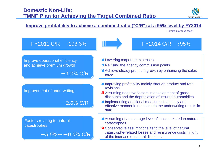

(Private insurance basis)

## **Improve profitability to achieve a combined ratio ("C/R") at a 95% level by FY2014**

Improving profitability mainly through product and rate revisions**A** Assuming negative factors in development of grade discounts and the depreciation of insured automobiles **Implementing additional measures in a timely and** effective manner in response to the underwriting results in autoLowering corporate expenses **N** Revising the agency commission points Achieve steady premium growth by enhancing the sales forceFY2011 C/R :103.3% FY2014 C/R :95%  $-$  1.0% C/R  $-2.0\%$  C/R Improve operational efficiency and achieve premium growth Improvement of underwriting

Factors relating to natural catastrophes

$$
-5.0\% \sim -6.0\%
$$
 C/R

- Assuming of an average level of looses related to natural catastrophes
- **7** Conservative assumptions as to the level of natural catastrophe-related losses and reinsurance costs in light of the increase of natural disasters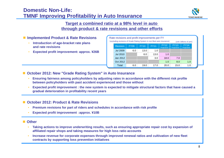# **Domestic Non-Life:TMNF Improving Profitability in Auto Insurance**



# **Target a combined ratio at a 98% level in auto through product & rate revisions and other efforts**

#### **Implemented Product & Rate Revisions**

- • **Introduction of age-bracket rate plans and rate revisions**
- •**Expected profit improvement: approx. ¥26B**

| Rate revisions and profit improvements per FY<br>(excluding revisions of Grade Rating System in non-fleet auto insurance)<br>(unit: billions of yen) |                 |             |             |             |                            |                                   |                                   |  |  |
|------------------------------------------------------------------------------------------------------------------------------------------------------|-----------------|-------------|-------------|-------------|----------------------------|-----------------------------------|-----------------------------------|--|--|
|                                                                                                                                                      | <b>Revision</b> | <b>FY09</b> | <b>FY10</b> | <b>FY11</b> | <b>FY12</b><br>Projections | <b>FY13</b><br><b>Projections</b> | <b>FY14</b><br><b>Projections</b> |  |  |
|                                                                                                                                                      | <b>Jul 2009</b> | 6.0         | 13.0        | 1.0         |                            |                                   |                                   |  |  |
|                                                                                                                                                      | <b>Jul 2010</b> |             | 6.0         | 13.0        | 1.0                        |                                   |                                   |  |  |
|                                                                                                                                                      | Jan 2012        |             |             | 3.0         | 18.0                       | 7.0                               |                                   |  |  |
|                                                                                                                                                      | Oct 2012        |             |             |             | 1.0                        | 8.0                               | 1.0                               |  |  |
|                                                                                                                                                      | Total           | 6.0         | 19.0        | 17.0        | 20.0                       | 15.0                              | 1.0                               |  |  |

#### **October 2012: New "Grade Rating System" in Auto Insurance**

- • **Ensuring fairness among policyholders by adjusting rates in accordance with the different risk profile between policyholders with past accident experienced and those without**
- • **Expected profit improvement : the new system is expected to mitigate structural factors that have caused a gradual deterioration in profitability recent years**

#### **October 2012: Product & Rate Revisions**

- •**Premium revisions for part of riders and schedules in accordance with risk profile**
- •**Expected profit improvement** :**approx. ¥10B**

#### ■ Other

- • **Taking actions to improve underwriting results, such as ensuring appropriate repair cost by expansion of affiliated repair shops and taking measures for high loss ratio accounts**
- • **Increase revenue for corporate expenses through improved renewal ratios and cultivation of new fleet contracts by supporting loss prevention initiatives**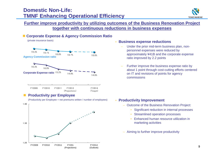# **Domestic Non-Life:TMNF Enhancing Operational Efficiency**



### **Further improve productivity by utilizing outcomes of the Business Renovation Project together with continuous reductions in business expenses**

#### **Corporate Expense & Agency Commission Ratio** (private insurance basis) **Agency Commission ratio Corporate Expense ratio** 15.2%16.3% 16.0% 14.9% 14.6%19.3% 19.1% 18.8% 18.7% 18.6%FY2009 FY2010 FY2011 FY2012 (Projections) FY2014(Target)

#### ×, **Productivity per Employee**

(Productivity per Employee = net premiums written / number of employees)



#### •**Business expense reductions**

- Under the prior mid-term business plan, nonpersonnel expenses were reduced by approximately ¥41B and the corporate expense ratio improved by 2.2 points
- Further improve the business expense ratio by about 1 point through cost-cutting efforts centered on IT and revisions of points for agency commissions

#### • **Productivity Improvement**

- Outcome of the Business Renovation Project:
	- •Significant reduction in internal processes
	- •Streamlined operation processes
	- • Enhanced human resource utilization in marketing activities
- Aiming to further improve productivity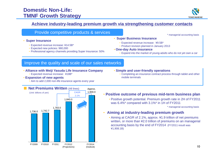

### **Achieve industry-leading premium growth via strengthening customer contacts**

| Provide competitive products & services                                                                                                                             | managerial accounting basis                                                                                                                                                                                      |
|---------------------------------------------------------------------------------------------------------------------------------------------------------------------|------------------------------------------------------------------------------------------------------------------------------------------------------------------------------------------------------------------|
| <b>Super Insurance</b><br>• Expected revenue increase: ¥14.5B*<br>• Expected new policies: 980,000<br>• Professional agency channels providing Super Insurance: 50% | • Super Business Insurance<br>• Expected revenue increase: ¥9.5B*<br>• Product revision planned in January 2013<br>• One-day Auto insurance<br>• Expand into the market of young-adults who do not yet own a car |
| Improve the quality and scale of our sales networks                                                                                                                 |                                                                                                                                                                                                                  |

- **Alliance with Meiji Yasuda Life Insurance Company** • Expected revenue increase: ¥18B\*
- **Expansion of new agents**
	- Aim to add 2,000 non-life insurance agents every year



- **Simple and user-friendly operations**
	- Completing an insurance contract process through tablet and other mobile terminals
- **Positive outcome of previous mid-term business plan**
	- Positive growth potential. Premium growth rate in 2H of FY2011 was 6.4%\* compared with 3.1%\* in 1H of FY2011

\* managerial accounting basis

- **Aiming at industry-leading premium growth**
	- Aiming at CAGR of 2.1%, approx. ¥1.9 trillion of net premiums written, or more than ¥2.0 trillion of premiums on an managerial accounting basis by the end of FY2014 (FY2011 result was ¥1,908.1B)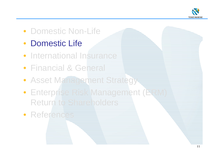

# • Domestic Non-Life

- Domestic Life
- International Insurance
- Financial & General
- Asset Management Strategy
- Enterprise Risk Management (ERM) Return to Shareholders
- References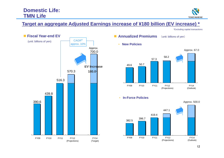

# **Target an aggregate Adjusted Earnings increase of ¥180 billion (EV increase) \***

\*Excluding capital transactions



- **Annualized Premiums** (unit: billions of yen)
	- **New Policies**



• **In-Force Policies**

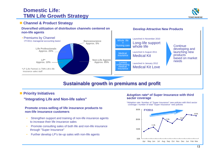# **Domestic Life:TMN Life Growth Strategy**



#### **Channel & Product Strategy**

#### **Diversified utilization of distribution channels centered on Develop Attractive New Products non-life agents**



# **Sustainable growth in premiums and profit**

#### **Priority Initiatives**

#### **"Integrating Life and Non-life sales"**

#### **Promote cross-selling of life insurance products to non-life insurance customers**

- • Strengthen support and training of non-life insurance agents to increase their life insurance sales
- Promote consulting sales of both life and non-life insurance through "Super Insurance"
- •Further develop LP's tie-up sales with non-life agents

#### **Adoption rate\* of Super Insurance with third sector coverage**

\*Adoption rate: Number of "Super Insurance" new policies with third sector coverage / number of total "Super Insurance" new policies

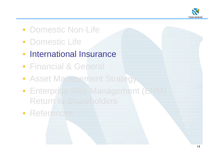

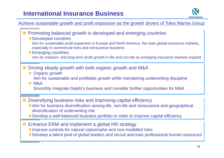# **International Insurance Business**



# Achieve sustainable growth and profit expansion as the growth drivers of Tokio Marine Group

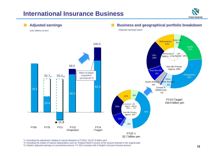# **International Insurance Business**





\*1: Excluding the adjustment relating to natural disasters in FY2011 1Q (27.9 billion yen)

\*2: Excluding the impact of natural catastrophes such as Thailand flood in excess of the amount forecast in the original plan

\*3: Delphi's adjusted earnings is a provisional amount. FY 2012 includes half of Delphi's full-year forecast amount.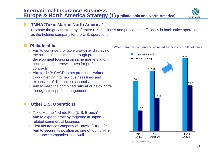# **International Insurance Business: Europe & North America Strategy (1) (Philadelphia and North America)**

# **TMNA**(**Tokio Marine North America**)

Promote the growth strategy of entire U.S. business and provide the efficiency in back-office operations as the holding company for the U.S. operations

#### П **Philadelphia**

- Aim to continue profitable growth by displaying the solid business model through product development focusing on niche markets and achieving high renewal rates for profitable contracts
- Aim for 14% CAGR in net premiums written through entry into new business lines and expansion of distribution channels
- Aim to keep the combined ratio at or below 95% through strict profit management

### **Other U.S. Operations**

- Tokio Marine Nichido Fire (U.S. Branch): Aim to expand profit by targeting in Japanrelated commercial business
- First Insurance Company of Hawaii (FICOH): Aim to secure its position as one of top non-life insurance companies in Hawaii

<Net premiums written and adjusted earnings of Philadelphia >



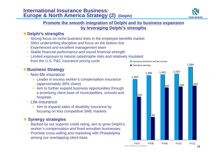

## **Promote the smooth integration of Delphi and its business expansion by leveraging Delphi's strengths**

### ■ Delphi's strengths

- Strong focus on niche business lines in the employee benefits market
- Strict underwriting discipline and focus on the bottom line
- Experienced and excellent management team
- Stable financial performance and sound financial strength
- Limited exposure to natural catastrophe risks and relatively insulated from the U.S. P&C insurance pricing cycle

# **Business Strategy**

- Non-life insurance
	- $\triangleright$  Leader in excess worker's compensation insurance (approximately 30% share)
	- $\triangleright$  Aim to further expand business opportunities through a promising client base of municipalities, schools and hospitals
- Life-insurance
	- $\triangleright$  Aim to expand sales of disability insurance by focusing on less competitive SME markets

# **Synergy strategies**

- Backed by our superior credit rating, aim to grow Delphi's worker's compensation and fixed annuities businesses
- Promote cross-selling and marketing with Philadelphia among our overlapping client base



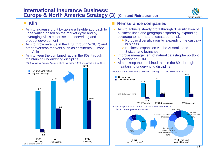# **International Insurance Business: Europe & North America Strategy (3) (Kiln and Reinsurance)**



#### **Contract Kiln**

- • Aim to increase profit by taking a flexible approach to underwriting based on the market cycle and by leveraging Kiln's expertise in underwriting and product development
- • Aim to grow revenue in the U.S. through WNC(\*) and other overseas markets such as continental Europe and Asia
- • Aim to keep the combined ratio in the 80s through maintaining underwriting discipline



#### **Reinsurance companies**

- • Aim to achieve steady profit through diversification of business lines and geographic spread by expanding coverage to non-natural catastrophe risks
	- $\triangleright$  Portfolio diversification by expanding the casualty business
	- $\triangleright$  Business expansion via the Australia and Switzerland branches
- • Improve management of natural catastrophe portfolio by advanced ERM
- Aim to keep the combined ratio in the 80s through maintaining underwriting discipline



<Net premiums written and adjusted earnings of Tokio Millennium Re>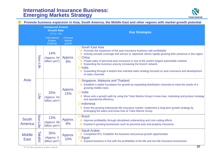# **International Insurance Business: Emerging Markets Strategy**



#### **Promote business expansion in Asia, South America, the Middle East and other regions with market growth potential**

|                                | <b>Compound Annual</b><br><b>Growth Rate</b><br>$(FY11 - 14)$ |                                                     |                                     | <b>Key Strategies</b>                                                                                                                                                                                                                                                                                                                                                                                                                                                                                                           |
|--------------------------------|---------------------------------------------------------------|-----------------------------------------------------|-------------------------------------|---------------------------------------------------------------------------------------------------------------------------------------------------------------------------------------------------------------------------------------------------------------------------------------------------------------------------------------------------------------------------------------------------------------------------------------------------------------------------------------------------------------------------------|
|                                |                                                               | <b>Tokio Marine</b><br><b>Entities</b><br>(Outlook) | Forecast<br><b>Market</b><br>growth |                                                                                                                                                                                                                                                                                                                                                                                                                                                                                                                                 |
|                                | Non-Life                                                      | 14%<br>(Approx. 84<br>billion yen*)                 | Approx.<br>8%                       | <b>O South East Asia</b><br>• Promote the expansion of the auto insurance business with profitability<br>Actively provide coverage and service to Japanese clients rapidly growing their presence in the region<br>O China<br>Propel sales of personal auto insurance in one of the world's largest automobile markets<br>• Expanding the business area by increasing the branch network<br>$O$ India<br>Expanding through a bottom-line oriented sales strategy focused on auto insurance and development<br>of sales channels |
| <b>Asia</b>                    | <b>Life</b>                                                   | 25%<br>(Approx. 64<br>billion yen*)                 | Approx.<br>15%                      | Singapore, Malaysia and Thailand<br>Establish a stable foundation for growth by expanding distribution channels to meet the needs of a<br>growing middle-class<br>$O$ India<br>• Move onto a growth path by using the Tokio Marine Group's know-how, marketing and product strategy<br>and operational efficiency<br>O Indonesia<br>Enter the growing Indonesian life insurance market. Implement a long-term growth strategy by<br>leveraging the talent and know-how of Tokio Marine Group                                    |
| <b>South</b><br><b>America</b> | Non-Life                                                      | 13%<br>(Approx. 86<br>billion yen*)                 | Approx.<br>8%                       | <b>O</b> Brazil<br>Improve profitability through disciplined underwriting and cost-cutting efforts<br>Expand in growing businesses such as personal auto and property insurance                                                                                                                                                                                                                                                                                                                                                 |
| <b>Middle</b><br><b>East</b>   | Takaful                                                       | 35%<br>(Approx. 3<br>billion yen*)                  | Approx.<br>10%                      | Saudi Arabia<br>Completed IPO. Establish the business and pursue growth opportunities<br>O Egypt<br>Expand business in line with the profitability of the life and non-life insurance businesses                                                                                                                                                                                                                                                                                                                                |

\*FY14 Net premiums written outlook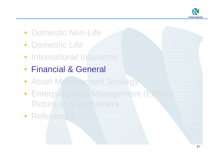

- Domestic Non-Life
- Domestic Life
- **International Insurance**
- Financial & General
- Asset Management Strategy
- Enterprise Risk Management (ERM) Return to Shareholders
- References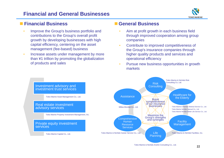# **Financial and General Businesses**



# **Financial Business**

- • Improve the Group's business portfolio and contributions to the Group's overall profit growth by developing businesses with high capital efficiency, centering on the asset management (fee-based) business
- • Increase assets under management by more than ¥1 trillion by promoting the globalization of products and sales

## **General Business**

- • Aim at profit growth in each business field through improved cooperation among group companies
- • Contribute to improved competitiveness of the Group's insurance companies through higher quality products and services and operational efficiency
- • Pursue new business opportunities in growth markets

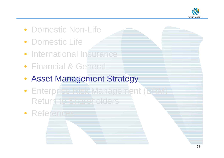

- Domestic Non-Life
- Domestic Life
- International Insurance
- Financial & General
- Asset Management Strategy
- Enterprise Risk Management (ERM) Return to Shareholders
- References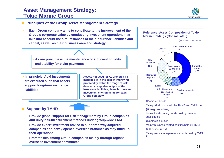# **Asset Management Strategy: Tokio Marine Group**



#### **Principles of the Group Asset Management Strategy**

• **Each Group company aims to contribute to the improvement of the Group's corporate value by conducting investment operations that take into account the circumstances of their insurance liabilities and capital, as well as their business area and strategy**

• **A core principle is the maintenance of sufficient liquidity and stability for claim payments**

• **In principle, ALM investments are executed such that assets support long-term insurance liabilities**

 **Assets not used for ALM should be managed with the goal of improving profitability within the range of risk deemed acceptable in light of the insurance liabilities, financial base and investment environments for each Group company**

**Support by TMHD**

- • **Provide global support for risk management by Group companies and unify risk-measurement methods under group-wide ERM**
- • **Provide expert investment advice to support newly acquired companies and newly opened overseas branches as they build up their operations**
- • **Promote ties among Group companies mainly through regional overseas investment committees**

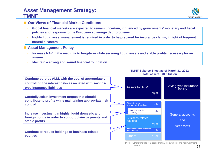# **Asset Management Strategy: TMNF**



- Our Views of Financial Market Conditions
	- • **Global financial markets are expected to remain uncertain, influenced by governments' monetary and fiscal policies and response to the European sovereign debt problems**
	- • **Highly liquid asset management is required in order to be prepared for insurance claims, in light of frequent natural disasters**
- **Asset Management Policy**
	- • **Increase NAV in the medium- to long-term while securing liquid assets and stable profits necessary for an insurer**
	- •**Maintain a strong and sound financial foundation**



(Note) "Others" include real estate (mainly for own use ) and noninvestment assets.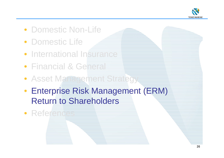

- Domestic Non-Life
- Domestic Life
- International Insurance
- Financial & General
- Asset Management Strategy
- Enterprise Risk Management (ERM) Return to Shareholders
- References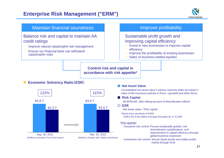



mainly through ALM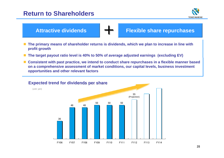# **Return to Shareholders**



**Attractive dividends**

**Flexible share repurchases**

■ The primary means of shareholder returns is dividends, which we plan to increase in line with **profit growth**

+

- The target payout ratio level is 40% to 50% of average adjusted earnings (excluding EV)
- Consistent with past practice, we intend to conduct share repurchases in a flexible manner based **on a comprehensive assessment of market conditions, our capital levels, business investment opportunities and other relevant factors**

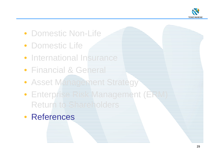

- Domestic Non-Life
- Domestic Life
- **International Insurance**
- Financial & General
- Asset Management Strategy
- Enterprise Risk Management (ERM) Return to Shareholders
- References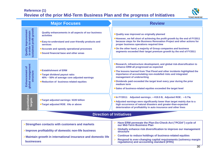### **Reference (1) Review of the prior Mid-Term Business Plan and the progress of Initiatives**



|                                                                                  | <b>Major Focuses</b>                                                                                                                                                                                                                      | <b>Review</b>                                                                                                                                                                                                                                                                                                                                                                                                                                          |
|----------------------------------------------------------------------------------|-------------------------------------------------------------------------------------------------------------------------------------------------------------------------------------------------------------------------------------------|--------------------------------------------------------------------------------------------------------------------------------------------------------------------------------------------------------------------------------------------------------------------------------------------------------------------------------------------------------------------------------------------------------------------------------------------------------|
| profit growth<br><b>Quality improvement</b><br>in order to maintain<br>sustained | Quality enhancements in all aspects of our business<br><b>activities</b><br>Easy-to-understand and user-friendly products and<br><b>services</b><br>• Accurate and speedy operational processes<br>• Sound financial base and other areas | . Quality was improved as originally planned<br>• However, we fell short of achieving the profit growth by the end of FY2011<br>because steps for the Business Renovation Project and other actions for<br>proper business operations required time<br>On the other hand, a majority of Group companies and business<br>segments exceeded their target premium growth by the end of FY2011                                                             |
| global management<br><b>Enhancement of</b><br>structure                          | ● Establishment of ERM<br>● Target dividend payout ratio:<br>40% ~ 50% of average core adjusted earnings<br>● Reduction of business-related equities                                                                                      | ● Research, infrastructure development, and global risk-diversification to<br>enhance ERM all progressed as expected<br>. The lessons learned from Thai Flood and other incidents highlighted the<br>importance of accumulating non-modelled risks and integrated<br>management of underwriting<br>Dividends paid exceeded the target level every year during the prior<br>medium term<br>Sales of business-related equities exceeded the target level |
| Quantitative<br>targets                                                          | ●Target adjusted earnings: ¥220 billion<br>●Target adjusted ROE: 6% or above                                                                                                                                                              | ●In FY2011: Adjusted earnings: -¥19.5 B, Adjusted ROE: -0.7%<br>• Adjusted earnings were significantly lower than target mainly due to a<br>high occurrence of natural disasters and greater-than-expected<br>deterioration of profitability in auto insurance and other lines                                                                                                                                                                         |
|                                                                                  |                                                                                                                                                                                                                                           | Diroction of Initiativos                                                                                                                                                                                                                                                                                                                                                                                                                               |

#### **Direction of Initiatives**

| Globally enhance risk diversification to improve our management<br><b>structure</b>                                                                                    |
|------------------------------------------------------------------------------------------------------------------------------------------------------------------------|
| Continue to reduce holdings of business-related equities<br>Respond to ever-changing capital requirements (solvency margin regulations) and accounting standard (IFRS) |
|                                                                                                                                                                        |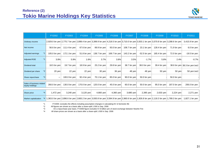

|                                              |         | FY2002       | FY2003       | <b>FY2004</b> | <b>FY2005</b>    | <b>FY2006</b> | <b>FY2007</b> | <b>FY2008</b>  | <b>FY2009</b>                                                                                                                          | <b>FY2010</b> | FY2011                        |
|----------------------------------------------|---------|--------------|--------------|---------------|------------------|---------------|---------------|----------------|----------------------------------------------------------------------------------------------------------------------------------------|---------------|-------------------------------|
| Ordinary income                              |         |              |              |               |                  |               |               |                | 2,929.0 bn yen 2,775.7 bn yen 2,899.4 bn yen 3,399.9 bn yen 4,218.5 bn yen 3,710.0 bn yen 3,503.1 bn yen 3,570.8 bn yen 3,288.6 bn yen |               | 3,415.9 bn yen                |
| Net income                                   |         | 56.6 bn yen  | 111.4 bn yen | 67.6 bn yen   | 89.9 bn yen      | 93.0 bn yen   | 108.7 bn yen  | 23.1 bn yen    | 128.4 bn yen                                                                                                                           | 71.9 bn yen   | 6.0 bn yen                    |
| Adjusted earnings                            |         | 105.0 bn yen | 172.1 bn yen | 51.8 bn yen   | 138.7 bn yen     | 169.7 bn yen  | 143.2 bn yen  | $-52.5$ bn yen | 165.4 bn yen                                                                                                                           | 72.0 bn yen   | $-19.5$ bn yen                |
| Adjusted ROE                                 | $*1$    | 3.8%         | 5.9%         | 1.6%          | 3.7%             | 3.8%          | 3.5%          | $-1.7%$        | 5.8%                                                                                                                                   | 2.4%          | $-0.7\%$                      |
| Dividend total                               |         | 18.5 bn yen  | 19.7 bn yen  | 18.9 bn yen   | 25.2 bn yen      | 29.8 bn yen   | 38.7 bn yen   | 38.0 bn yen    | 39.4 bn yen                                                                                                                            |               | 38.6 bn yen 38.3 bn yen (est) |
| Dividend per share                           | *2      | $20$ yen     | $22$ yen     | $22$ yen      | $30 \text{ yen}$ | 36 yen        | 48 yen        | 48 yen         | 50 yen                                                                                                                                 | 50 yen        | $50$ yen $(e^{st})$           |
| Share repurchase                             | *3      | —            | 100.0 bn yen | 92.4 bn yen   | 70.1 bn yen      | 85.0 bn yen   | 90.0 bn yen   | 50.0 bn yen    |                                                                                                                                        | 50.0 bn yen   |                               |
| Sales of business related<br>equity holdings |         | 260.0 bn yen | 130.0 bn yen | 170.0 bn yen  | 120.0 bn yen     | 45.0 bn yen   | 60.0 bn yen   | 50.0 bn yen    | 95.0 bn yen                                                                                                                            | 187.0 bn yen  | 206.0 bn yen                  |
| Share price                                  | $*_{4}$ | 1,472 yen    | 3,240 yen    | 3,120 yen     | 4,660 yen        | 4,360 yen     | 3,680 yen     | 2,395 yen      | $2,633$ yen                                                                                                                            | $2,224$ yen   | 2,271 yen                     |
| Market capitalization                        | *4      |              |              |               |                  |               |               |                | 1,363.0 bn yen 2,896.6 bn yen 2,683.2 bn yen 3,930.8 bn yen 3,594.9 bn yen 2,960.6 bn yen 1,926.8 bn yen 2,118.3 bn yen 1,789.3 bn yen |               | 1,827.1 bn yen                |

\*1 FY2005: excludes the effects including assumption changes in calculating EV of domestic life

\*2 All figures are shown as a basis after a share-split 1-500 in Sep. 2006

\*3 On a repurchase year basis. FY2006 figure excludes 57.8 billion yen of stock exchange between Nisshin Fire

\*4 All share prices are shown as a basis after a share-split 1-500 in Sep. 2006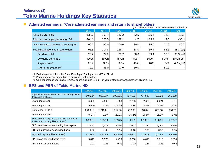

#### **Adjusted earnings**/**Core adjusted earnings and return to shareholders**

|                                  |                                          | (unit: billions of yen, unless otherwise stated below) |       |       |         |       |       |               |
|----------------------------------|------------------------------------------|--------------------------------------------------------|-------|-------|---------|-------|-------|---------------|
|                                  |                                          | 2005                                                   | 2006  | 2007  | 2008    | 2009  | 2010  | 2011          |
|                                  | Adjusted earnings                        | 138.7                                                  | 169.7 | 143.2 | $-52.5$ | 165.4 | 72.0  | $-19.5$       |
| Adjusted earnings (excluding EV) |                                          | 104.1                                                  | 121.5 | 128.1 | 4.7     | 113.4 | 44.5  | $-35.4$       |
|                                  | Average adjusted earnings (excluding EV) | 90.0                                                   | 90.0  | 100.0 | 80.0    | 85.0  | 70.0  | 80.0          |
|                                  | Total distributions to shareholders      | 95.3                                                   | 114.8 | 128.7 | 88.0    | 39.4  | 88.6  | $38.3$ (est)  |
|                                  | Dividend total                           | 25.2                                                   | 29.8  | 38.7  | 38.0    | 39.4  | 38.6  | $38.3$ (est)  |
|                                  | Dividend per share                       | 30yen                                                  | 36yen | 48yen | 48yen   | 50yen | 50yen | $50$ yen(est) |
|                                  | Payout ratio $*$                         | 28%                                                    | 33%   | 39%   | 48%     | 46%   | 55%   | $48%$ (est)   |
|                                  | Share repurchases <sup>*</sup>           | 70.1                                                   | 85.0  | 90.0  | 50.0    | ٠     | 50.0  |               |

\*1: Excluding effects from the Great East Japan Earthquake and Thai Flood

\*2: Percentage of average adjusted earnings (excluding EV)

\*3: On a repurchase year basis. FY2006 figure excludes 57.8 billion yen of stock exchange between Nisshin Fire.

#### $\mathcal{L}^{\text{max}}$ **BPS and PBR of Tokio Marine HD**

|                                                                                     | 2006/3E  | 2007/3E  | 2008/3E  | 2009/3E  | 2010/3E | 2011/3E  | 2012/3E |
|-------------------------------------------------------------------------------------|----------|----------|----------|----------|---------|----------|---------|
| Adjusted number of issued and outstanding shares<br>(thousands of shares)           | 840,234  | 823,337  | 802,231  | 787,562  | 787,605 | 766,820  | 766,928 |
| Share price (yen)                                                                   | 4,660    | 4,360    | 3,680    | 2,395    | 2,633   | 2,224    | 2,271   |
| Percentage change                                                                   | 49.4%    | $-6.4%$  | $-15.6%$ | - 34.9%  | 9.9%    | $-15.5%$ | 2.1%    |
| (Reference) TOPIX                                                                   | 1,728.16 | 1,713.61 | 1,212.96 | 773.66   | 978.81  | 869.38   | 854.35  |
| Percentage change                                                                   | 46.2%    | $-0.8%$  | $-29.2%$ | $-36.2%$ | 26.5%   | - 11.2%  | $-1.7%$ |
| Shareholders' equity after tax on a financial<br>accounting basis (billions of yen) | 3,209.8  | 3,398.4  | 2,563.5  | 1,627.8  | 2,169.0 | 1,886.5  | 1,839.7 |
| BPS on a financial accounting basis (yen)                                           | 3,820    | 4,128    | 3,195    | 2,067    | 2,754   | 2,460    | 2,399   |
| PBR on a financial accounting basis                                                 | 1.22     | 1.06     | 1.15     | 1.16     | 0.96    | 0.90     | 0.95    |
| Adjusted capital (billions of yen)                                                  | 4,238.7  | 4,585.8  | 3,605.9  | 2,564.2  | 3,160.8 | 2,918.3  | 2,829.9 |
| BPS on an adjusted basis (yen)                                                      | 5,040    | 5,570    | 4,490    | 3,260    | 4,010   | 3,810    | 3,690   |
| PBR on an adjusted basis                                                            | 0.92     | 0.78     | 0.82     | 0.73     | 0.66    | 0.58     | 0.62    |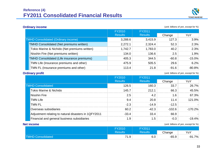

**Ordinary income** (unit: billions of yen, except for %)

|                                                    | FY2010         | FY2011         |         |          |
|----------------------------------------------------|----------------|----------------|---------|----------|
|                                                    | <b>Results</b> | <b>Results</b> | Change  | YoY      |
| <b>TMHD Consolidated (Ordinary income)</b>         | 3,288.6        | 3,415.9        | 127.3   | 3.9%     |
| <b>TMHD Consolidated (Net premiums written)</b>    | 2,272.1        | 2,324.4        | 52.3    | 2.3%     |
| Tokio Marine & Nichido (Net premiums written)      | 1,742.7        | 1,783.0        | 40.2    | 2.3%     |
| Nisshin Fire (Net premiums written)                | 134.0          | 136.6          | 2.5     | 1.9%     |
| <b>TMHD Consolidated (Life insurance premiums)</b> | 405.3          | 344.5          | $-60.8$ | $-15.0%$ |
| TMN Life (Insurance premiums and other)            | 475.9          | 505.5          | 29.6    | 6.2%     |
| TMN FL (Insurance premiums and other)              | 113.4          | 21.8           | $-91.6$ | $-80.8%$ |

**Ordinary profit Conservation** (unit: billions of yen, except for %)

|                                                      | <b>FY2010</b>  | FY2011         |         |            |
|------------------------------------------------------|----------------|----------------|---------|------------|
|                                                      | <b>Results</b> | <b>Results</b> | Change  | YoY        |
| <b>TMHD Consolidated</b>                             | 126.5          | 160.3          | 33.7    | 26.7%      |
| <b>Tokio Marine &amp; Nichido</b>                    | 145.7          | 212.1          | 66.3    | 45.5%      |
| <b>Nisshin Fire</b>                                  | 2.5            |                | .6      | 67.3%      |
| <b>TMN Life</b>                                      | 94             | 20.8           | 11.4    | 121.0%     |
| <b>TMN FL</b>                                        | -23            | $-14.9$        | $-12.5$ |            |
| Overseas subsidiaries                                | 60 2           | -42 3          | -102.6  | $-170.2\%$ |
| Adjustment relating to natural disasters in 1QFY2011 | -33.4          |                | 66.9    |            |
| Financial and general business subsidiaries          | . .9           | . .ხ           | -0.3    | $-19.4\%$  |

#### **Net income**

(unit: billions of yen, except for %)

|                          | <b>FY2010</b>  | FY2011         |         |          |
|--------------------------|----------------|----------------|---------|----------|
|                          | <b>Results</b> | <b>Results</b> | Change  | YoY      |
| <b>TMHD Consolidated</b> | 74<br>1.9      | 6.0            | $-65.9$ | $-91.7%$ |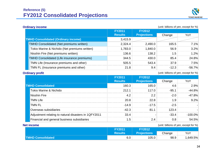

**Ordinary income** (unit: billions of yen, except for %)

|                                            |                                                    | <b>FY2011</b>  | <b>FY2012</b>      |         |          |
|--------------------------------------------|----------------------------------------------------|----------------|--------------------|---------|----------|
|                                            |                                                    | <b>Results</b> | <b>Projections</b> | Change  | YoY      |
| <b>TMHD Consolidated (Ordinary income)</b> |                                                    | 3,415.9        |                    |         |          |
|                                            | <b>TMHD Consolidated (Net premiums written)</b>    | 2,324.4        | 2,490.0            | 165.5   | 7.1%     |
|                                            | Tokio Marine & Nichido (Net premiums written)      | 1,783.0        | 1,840.0            | 56.9    | $3.2\%$  |
|                                            | Nisshin Fire (Net premiums written)                | 136.6          | 138.2              | 1.5     | 1.2%     |
|                                            | <b>TMHD Consolidated (Life insurance premiums)</b> | 344.5          | 430.0              | 85.4    | 24.8%    |
|                                            | TMN Life (Insurance premiums and other)            | 505.5          | 543.4              | 37.9    | 7.5%     |
|                                            | TMN FL (Insurance premiums and other)              | 21.8           | 9.4                | $-12.3$ | $-56.7%$ |

**Ordinary profit Construction Construction Construction Construction Construction (unit: billions of yen, except for %)** 

|                                                      | <b>FY2011</b>  | <b>FY2012</b>      |         |            |
|------------------------------------------------------|----------------|--------------------|---------|------------|
|                                                      | <b>Results</b> | <b>Projections</b> | Change  | YoY        |
| <b>TMHD Consolidated</b>                             | 160.3          | 165.0              | 4.6     | 2.9%       |
| <b>Tokio Marine &amp; Nichido</b>                    | 212.1          | 117.0              | $-95.1$ | $-44.8%$   |
| Nisshin Fire                                         | 4.2            |                    | $-20$   | -47.8%     |
| <b>TMN Life</b>                                      | 20.8           | 22.8               |         | $9.2\%$    |
| <b>TMN FL</b>                                        | $-14.9$        | $-17.5$            | -25     |            |
| Overseas subsidiaries                                | $-42.3$        |                    | 23.4    |            |
| Adjustment relating to natural disasters in 1QFY2011 | 33.4           |                    | $-33.4$ | $-100.0\%$ |
| Financial and general business subsidiaries          | l .5           |                    | 0.8     | 54.5%      |

#### **Net income**

(unit: billions of yen, except for %)

|                          | <b>FY2011</b>  | <b>FY2012</b>      |        |          |
|--------------------------|----------------|--------------------|--------|----------|
|                          | <b>Results</b> | <b>Projections</b> | Change | YoY      |
| <b>TMHD Consolidated</b> | 6.0            | 105.0              | 98.9   | 1,649.5% |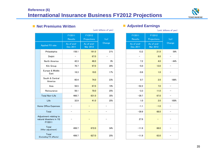# **Reference (6) International Insurance Business FY2012 Projections**



#### ■ Net Premiums Written

|                                                             | FY2011<br><b>Results</b> | FY2012<br>Projections  | YoY                      |  | FY2011<br><b>Results</b> | FY2012<br>Projections  | YoY                      |
|-------------------------------------------------------------|--------------------------|------------------------|--------------------------|--|--------------------------|------------------------|--------------------------|
| Applied FX rate                                             | As of end-<br>Dec 2011   | As of end-<br>Mar 2012 | Change                   |  | As of end-<br>Dec 2011   | As of end-<br>Mar 2012 | Change                   |
| Philadelphia                                                | 158.1                    | 191.0                  | 21%                      |  | 13.2                     | 21.0                   | 59%                      |
| Delphi                                                      | $\overline{\phantom{a}}$ | 67.0                   | $\overline{\phantom{0}}$ |  | $\overline{\phantom{0}}$ | 8.0                    |                          |
| North America                                               | 42.3                     | 46.0                   | 9%                       |  | 7.2                      | 4.0                    | $-44%$                   |
| Kiln Group                                                  | 76.7                     | 97.0                   | 26%                      |  | $-5.0$                   | 13.0                   |                          |
| Europe & Middle<br>East                                     | 16.3                     | 19.0                   | 17%                      |  | $-0.6$                   | 1.0                    |                          |
| South & Central<br>America                                  | 60.4                     | 74.0                   | 23%                      |  | 0.7                      | 2.0                    | 186%                     |
| Asia                                                        | 56.5                     | 67.0                   | 19%                      |  | $-52.2$                  | 7.0                    | $\overline{\phantom{m}}$ |
| Reinsurance                                                 | 56.1                     | 70.0                   | 25%                      |  | $-3.3$                   | 11.0                   |                          |
| Total Non-Life                                              | 466.7                    | 631.0                  | 35%                      |  | $-39.7$                  | 67.0                   | $\qquad \qquad -$        |
| Life                                                        | 32.9                     | 41.0                   | 25%                      |  | $1.0$                    | 2.0                    | 100%                     |
| Home Office Expenses                                        |                          |                        |                          |  | $-1.1$                   | $-1.0$                 |                          |
| Total                                                       | $\overline{\phantom{m}}$ | $\qquad \qquad -$      | $\overline{\phantom{0}}$ |  | $-39.9$                  | 68.0                   |                          |
| Adjustment relating to<br>natural disasters in 1Q<br>FY2011 |                          |                        | $\overline{\phantom{0}}$ |  | 27.9                     | $\qquad \qquad -$      |                          |
| Total<br>(After adjustment)                                 | 499.7                    | 672.0                  | 34%                      |  | $-11.9$                  | 68.0                   |                          |
| Total<br>(Excluding FX effects)                             | 499.7                    | 627.0                  | 25%                      |  | $-11.9$                  | 63.0                   |                          |
|                                                             |                          |                        |                          |  |                          |                        |                          |

#### **Adjusted Earnings**

| (unit: billions of yen)<br>(unit: billions of yen) |                                     |               |                                        |                   |                                     |                   |
|----------------------------------------------------|-------------------------------------|---------------|----------------------------------------|-------------------|-------------------------------------|-------------------|
| 2011<br>sults<br>$f$ end $-$                       | FY2012<br>Projections<br>As of end- | YoY<br>Change | FY2011<br><b>Results</b><br>As of end- |                   | FY2012<br>Projections<br>As of end- | YoY<br>Change     |
| 2011                                               | Mar 2012                            |               | Dec 2011                               |                   | Mar 2012                            |                   |
| 158.1                                              | 191.0                               | 21%           |                                        | 13.2              | 21.0                                | 59%               |
| $\overline{\phantom{0}}$                           | 67.0                                |               |                                        | $\qquad \qquad -$ | 8.0                                 | $\qquad \qquad -$ |
| 42.3                                               | 46.0                                | $9\%$         |                                        | 7.2               | 4.0                                 | $-44%$            |
| 76.7                                               | 97.0                                | 26%           |                                        | $-5.0$            | 13.0                                | —                 |
| 16.3                                               | 19.0                                | 17%           |                                        | $-0.6$            | 1.0                                 |                   |
| 60.4                                               | 74.0                                | 23%           |                                        | 0.7               | 2.0                                 | 186%              |
| 56.5                                               | 67.0                                | 19%           |                                        | $-52.2$           | 7.0                                 | $\qquad \qquad -$ |
| 56.1                                               | 70.0                                | 25%           |                                        | $-3.3$            | 11.0                                |                   |
| 466.7                                              | 631.0                               | 35%           |                                        | $-39.7$           | 67.0                                |                   |
| 32.9                                               | 41.0                                | 25%           |                                        | 1.0               | 2.0                                 | 100%              |
|                                                    |                                     |               |                                        | $-1.1$            | $-1.0$                              |                   |
|                                                    | -                                   | —             |                                        | $-39.9$           | 68.0                                | $\qquad \qquad -$ |
|                                                    |                                     |               |                                        | 27.9              |                                     |                   |
| 499.7                                              | 672.0                               | 34%           |                                        | $-11.9$           | 68.0                                |                   |
| 499.7                                              | 627.0                               | 25%           |                                        | $-11.9$           | 63.0                                |                   |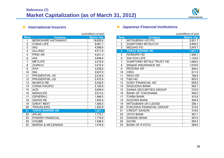

#### International Insurers

|                 |                             | (unit:billions of yen) |
|-----------------|-----------------------------|------------------------|
| <b>Rank</b>     | Company                     | <b>Market Cap</b>      |
| 1               | <b>BERKSHIRE HATHAWAY</b>   | 16,620.6               |
| $\overline{2}$  | <b>CHINA LIFE</b>           | 6,061.7                |
| 3               | <b>AIG</b>                  | 4,568.9                |
| 4               | <b>ALLIANZ</b>              | 4,511.0                |
| 5               | <b>PING AN</b>              | 4,251.3                |
| 6               | <b>AIA</b>                  | 3,646.8                |
| 7               | <b>METLIFE</b>              | 3,272.6                |
| 8               | <b>ZURICH</b>               | 3,272.4                |
| 9               | <b>AXA</b>                  | 3,228.0                |
| 10              | <b>ING</b>                  | 2,637.0                |
| 11              | <b>PRUDENTIAL UK</b>        | 2,516.9                |
| 12              | PRUDENTIAL US               | 2,472.4                |
| 13              | <b>MUNICH RE</b>            | 2,242.6                |
| 14              | <b>CHINA PACIFIC</b>        | 2,182.8                |
| 15              | <b>ACE</b>                  | 2,039.4                |
| 16              | <b>MANULIFE</b>             | 2,013.2                |
| 17              | <b>GENERALI</b>             | 1,996.5                |
| 18              | <b>SWISS RE</b>             | 1,955.9                |
| 19              | <b>GREAT WEST</b>           | 1,928.3                |
| 20              | <b>TRAVELERS</b>            | 1,922.9                |
| $\overline{21}$ | <b>TOKIO MARINE HD</b>      | 1,827.1                |
| 22              | <b>AFLAC</b>                | $\overline{1,}775.1$   |
| 23              | POWER FINANCIAL             | 1,719.0                |
| 24              | <b>CHUBB</b>                | 1,548.4                |
| 25              | <b>MARSH &amp; MCLENNAN</b> | 1,478.4                |

### **International Institutions**

|                |                                 | (unit:billions of yen) |
|----------------|---------------------------------|------------------------|
| Rank           | Company                         | <b>Market Cap</b>      |
| 1              | <b>MITSUBISHI UFJ FG</b>        | 5,831.7                |
| $\overline{2}$ | <b>SUMITOMO MITSUI FG</b>       | 3,850.5                |
| $\overline{3}$ | <b>MIZUHO FG</b>                | 3,243.7                |
| 4              | <b>TOKIO MARINE HD</b>          | 1,827.1                |
| 5              | <b>NOMURA HD</b>                | 1,399.1                |
| 6              | <b>DAI-ICHI LIFE</b>            | 1,143.0                |
| 7              | <b>SUMITOMO MITSUI TRUST HD</b> | 1,096.5                |
| 8              | <b>MS&amp;AD INSURANCE HD</b>   | 1,076.0                |
| 9              | <b>RESONA HD</b>                | 958.2                  |
| 10             | <b>ORIX</b>                     | 871.0                  |
| 11             | <b>NKSJ HD</b>                  | 768.4                  |
| 12             | T&D HD                          | 653.5                  |
| 13             | <b>SONY FINANCIAL HD</b>        | 639.5                  |
| 14             | <b>SHIZUOKA BANK</b>            | 583.7                  |
| 15             | <b>DAIWA SECURITIES GROUP</b>   | 572.0                  |
| 16             | <b>BANK OF YOKOHAMA</b>         | 563.5                  |
| 17             | <b>CHIBA BANK</b>               | 472.8                  |
| 18             | <b>AOZORA BANK</b>              | 394.4                  |
| 19             | MITSUBISHI UFJ LEASE            | 326.1                  |
| 20             | <b>FUKUOKA FINANCIAL GROUP</b>  | 315.5                  |
| 21             | <b>CREDIT SAISON</b>            | 310.6                  |
| 22             | JOYO BANK                       | 307.1                  |
| 23             | <b>SHINSEI BANK</b>             | 297.0                  |
| 24             | <b>ACOM</b>                     | 295.2                  |
| 25             | <b>BANK OF KYOTO</b>            | 284.8                  |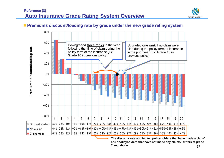

# **Premiums discount/loading rate by grade under the new grade rating system**



37**The discount rate applied to "policyholders that have made a claim" and "policyholders that have not made any claims" differs at grade 7 and above.**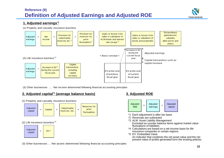# **Reference (9) Definition of Adjusted Earnings and Adjusted ROE**



#### **1. Adjusted earnings\*1**

(1) Property and casualty insurance business



(3) Other businesses … Net income determined following financial accounting principles

#### **2. Adjusted capital\*1 (average balance basis) 3. Adjusted ROE**



(1) Property and casualty insurance business



- \*1 Each adjustment is after-tax basis
- \*2 Reversals are subtracted
- \*3 ALM: Asset Liability Management Excluded as counter balance items against market value fluctuations of liabilities
- \*4 Calculations are based on a net income basis for life insurance companies in certain regions.
- \*5 EV: Embedded Value

An indicator that combines the net asset value and the net present value of profits generated form the existing policies

(3) Other businesses … Net assets determined following financial accounting principles